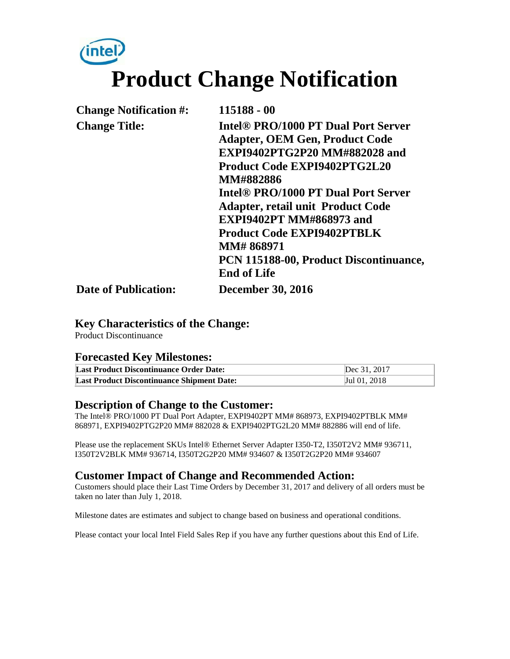# (intel) **Product Change Notification**

| <b>Change Notification #:</b> | 115188 - 00                                     |
|-------------------------------|-------------------------------------------------|
| <b>Change Title:</b>          | Intel <sup>®</sup> PRO/1000 PT Dual Port Server |
|                               | <b>Adapter, OEM Gen, Product Code</b>           |
|                               | EXPI9402PTG2P20 MM#882028 and                   |
|                               | <b>Product Code EXPI9402PTG2L20</b>             |
|                               | <b>MM#882886</b>                                |
|                               | Intel <sup>®</sup> PRO/1000 PT Dual Port Server |
|                               | <b>Adapter, retail unit Product Code</b>        |
|                               | <b>EXPI9402PT MM#868973 and</b>                 |
|                               | <b>Product Code EXPI9402PTBLK</b>               |
|                               | <b>MM# 868971</b>                               |
|                               | PCN 115188-00, Product Discontinuance,          |
|                               | <b>End of Life</b>                              |
| <b>Date of Publication:</b>   | <b>December 30, 2016</b>                        |

#### **Key Characteristics of the Change:**

Product Discontinuance

#### **Forecasted Key Milestones:**

| <b>Last Product Discontinuance Order Date:</b>    | Dec 31, 2017 |
|---------------------------------------------------|--------------|
| <b>Last Product Discontinuance Shipment Date:</b> | Jul 01, 2018 |

#### **Description of Change to the Customer:**

The Intel® PRO/1000 PT Dual Port Adapter, EXPI9402PT MM# 868973, EXPI9402PTBLK MM# 868971, EXPI9402PTG2P20 MM# 882028 & EXPI9402PTG2L20 MM# 882886 will end of life.

Please use the replacement SKUs Intel® Ethernet Server Adapter I350-T2, I350T2V2 MM# 936711, I350T2V2BLK MM# 936714, I350T2G2P20 MM# 934607 & I350T2G2P20 MM# 934607

#### **Customer Impact of Change and Recommended Action:**

Customers should place their Last Time Orders by December 31, 2017 and delivery of all orders must be taken no later than July 1, 2018.

Milestone dates are estimates and subject to change based on business and operational conditions.

Please contact your local Intel Field Sales Rep if you have any further questions about this End of Life.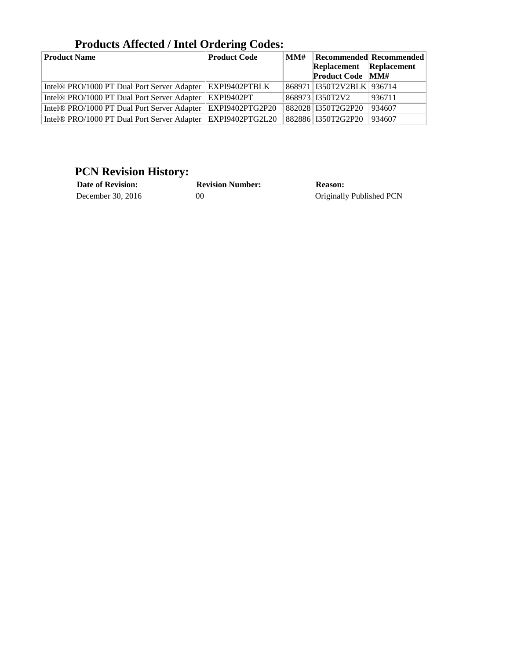| <b>Product Name</b>                                         | <b>Product Code</b> | MMH |                               | <b>Recommended Recommended</b> |
|-------------------------------------------------------------|---------------------|-----|-------------------------------|--------------------------------|
|                                                             |                     |     | Replacement Replacement       |                                |
|                                                             |                     |     | <b>Product Code MM#</b>       |                                |
| Intel® PRO/1000 PT Dual Port Server Adapter   EXPI9402PTBLK |                     |     | 868971   I350T2V2BLK   936714 |                                |
| Intel® PRO/1000 PT Dual Port Server Adapter                 | EXPI9402PT          |     | 868973 1350T2V2               | 936711                         |
| Intel® PRO/1000 PT Dual Port Server Adapter                 | EXPI9402PTG2P20     |     | 882028 1350T2G2P20            | 934607                         |
| Intel® PRO/1000 PT Dual Port Server Adapter                 | EXPI9402PTG2L20     |     | 882886 1350T2G2P20            | 934607                         |

### **Products Affected / Intel Ordering Codes:**

## **PCN Revision History:**

| <b>Date of Revision:</b> | <b>Revision Number:</b> | <b>Reason:</b>           |
|--------------------------|-------------------------|--------------------------|
| December 30, 2016        | 00                      | Originally Published PCN |